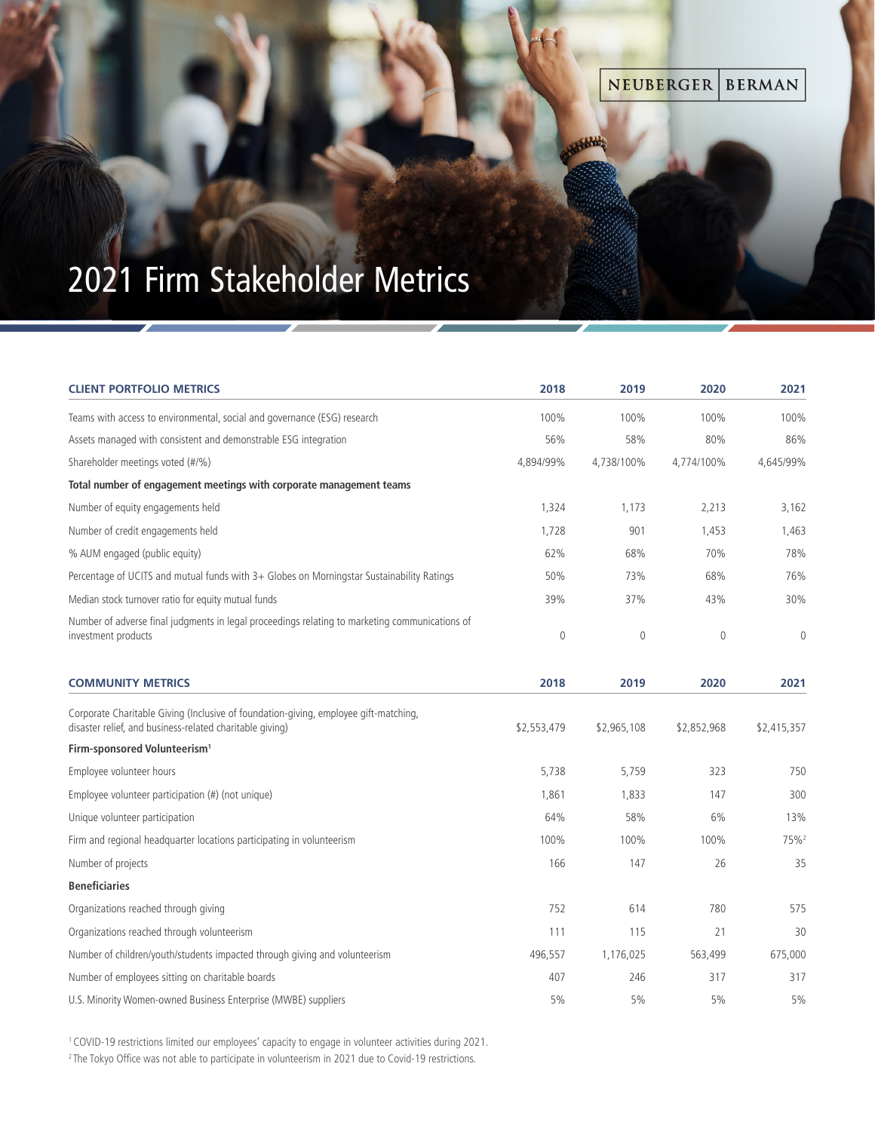## NEUBERGER **BERMAN**

Abbble

## This version will be placed on the cover of pieces that contain imagery such as Brochures and White Papers. 2021 Firm Stakeholder Metrics

**Large Color Bar - Portrait (w/Bleed)**

| <b>CLIENT PORTFOLIO METRICS</b>                                                                                                                  | 2018         | 2019        | 2020        | 2021             |
|--------------------------------------------------------------------------------------------------------------------------------------------------|--------------|-------------|-------------|------------------|
| Teams with access to environmental, social and governance (ESG) research                                                                         | 100%         | 100%        | 100%        | 100%             |
| Assets managed with consistent and demonstrable ESG integration                                                                                  | 56%          | 58%         | 80%         | 86%              |
| Shareholder meetings voted (#/%)                                                                                                                 | 4,894/99%    | 4,738/100%  | 4,774/100%  | 4,645/99%        |
| Total number of engagement meetings with corporate management teams                                                                              |              |             |             |                  |
| Number of equity engagements held                                                                                                                | 1,324        | 1,173       | 2,213       | 3,162            |
| Number of credit engagements held                                                                                                                | 1,728        | 901         | 1,453       | 1,463            |
| % AUM engaged (public equity)                                                                                                                    | 62%          | 68%         | 70%         | 78%              |
| Percentage of UCITS and mutual funds with 3+ Globes on Morningstar Sustainability Ratings                                                        | 50%          | 73%         | 68%         | 76%              |
| Median stock turnover ratio for equity mutual funds                                                                                              | 39%          | 37%         | 43%         | 30%              |
| Number of adverse final judgments in legal proceedings relating to marketing communications of<br>investment products                            | $\mathbf{0}$ | $\mathbf 0$ | $\mathbf 0$ | $\overline{0}$   |
| <b>COMMUNITY METRICS</b>                                                                                                                         | 2018         | 2019        | 2020        | 2021             |
| Corporate Charitable Giving (Inclusive of foundation-giving, employee gift-matching,<br>disaster relief, and business-related charitable giving) | \$2,553,479  | \$2,965,108 | \$2,852,968 | \$2,415,357      |
| Firm-sponsored Volunteerism <sup>1</sup>                                                                                                         |              |             |             |                  |
| Employee volunteer hours                                                                                                                         | 5,738        | 5,759       | 323         | 750              |
| Employee volunteer participation (#) (not unique)                                                                                                | 1,861        | 1,833       | 147         | 300              |
| Unique volunteer participation                                                                                                                   | 64%          | 58%         | 6%          | 13%              |
| Firm and regional headquarter locations participating in volunteerism                                                                            | 100%         | 100%        | 100%        | 75% <sup>2</sup> |
| Number of projects                                                                                                                               | 166          | 147         | 26          | 35               |
| <b>Beneficiaries</b>                                                                                                                             |              |             |             |                  |
| Organizations reached through giving                                                                                                             | 752          | 614         | 780         | 575              |
| Organizations reached through volunteerism                                                                                                       | 111          | 115         | 21          | 30               |
| Number of children/youth/students impacted through giving and volunteerism                                                                       | 496,557      | 1,176,025   | 563,499     | 675,000          |
| Number of employees sitting on charitable boards                                                                                                 | 407          | 246         | 317         | 317              |
| U.S. Minority Women-owned Business Enterprise (MWBE) suppliers                                                                                   | 5%           | 5%          | 5%          | 5%               |

1 COVID-19 restrictions limited our employees' capacity to engage in volunteer activities during 2021.

<sup>2</sup>The Tokyo Office was not able to participate in volunteerism in 2021 due to Covid-19 restrictions.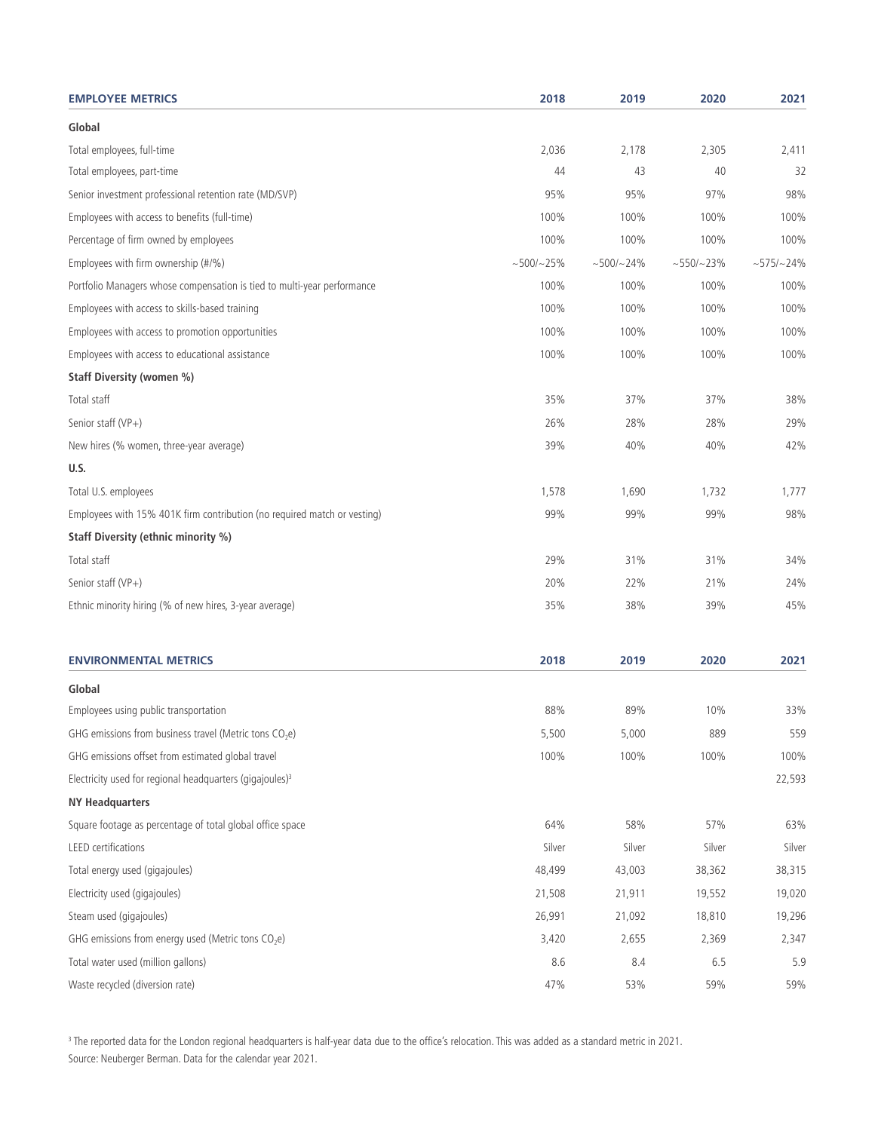| <b>EMPLOYEE METRICS</b>                                                  | 2018         | 2019         | 2020         | 2021            |
|--------------------------------------------------------------------------|--------------|--------------|--------------|-----------------|
| Global                                                                   |              |              |              |                 |
| Total employees, full-time                                               | 2,036        | 2,178        | 2,305        | 2,411           |
| Total employees, part-time                                               | 44           | 43           | 40           | 32              |
| Senior investment professional retention rate (MD/SVP)                   | 95%          | 95%          | 97%          | 98%             |
| Employees with access to benefits (full-time)                            | 100%         | 100%         | 100%         | 100%            |
| Percentage of firm owned by employees                                    | 100%         | 100%         | 100%         | 100%            |
| Employees with firm ownership (#/%)                                      | $~100/125\%$ | $~100/~24\%$ | $~100 - 23%$ | $~1.575/$ ~ 24% |
| Portfolio Managers whose compensation is tied to multi-year performance  | 100%         | 100%         | 100%         | 100%            |
| Employees with access to skills-based training                           | 100%         | 100%         | 100%         | 100%            |
| Employees with access to promotion opportunities                         | 100%         | 100%         | 100%         | 100%            |
| Employees with access to educational assistance                          | 100%         | 100%         | 100%         | 100%            |
| Staff Diversity (women %)                                                |              |              |              |                 |
| Total staff                                                              | 35%          | 37%          | 37%          | 38%             |
| Senior staff (VP+)                                                       | 26%          | 28%          | 28%          | 29%             |
| New hires (% women, three-year average)                                  | 39%          | 40%          | 40%          | 42%             |
| U.S.                                                                     |              |              |              |                 |
| Total U.S. employees                                                     | 1,578        | 1,690        | 1,732        | 1,777           |
| Employees with 15% 401K firm contribution (no required match or vesting) | 99%          | 99%          | 99%          | 98%             |
| Staff Diversity (ethnic minority %)                                      |              |              |              |                 |
| Total staff                                                              | 29%          | 31%          | 31%          | 34%             |
| Senior staff (VP+)                                                       | 20%          | 22%          | 21%          | 24%             |
| Ethnic minority hiring (% of new hires, 3-year average)                  | 35%          | 38%          | 39%          | 45%             |
| <b>ENVIRONMENTAL METRICS</b>                                             | 2018         | 2019         | 2020         | 2021            |
| Global                                                                   |              |              |              |                 |
| Employees using public transportation                                    | 88%          | 89%          | 10%          | 33%             |
| GHG emissions from business travel (Metric tons CO <sub>2</sub> e)       | 5,500        | 5,000        | 889          | 559             |
| GHG emissions offset from estimated global travel                        | 100%         | 100%         | 100%         | 100%            |
| Electricity used for regional headquarters (gigajoules) <sup>3</sup>     |              |              |              | 22,593          |
| <b>NY Headquarters</b>                                                   |              |              |              |                 |
| Square footage as percentage of total global office space                | 64%          | 58%          | 57%          | 63%             |
| LEED certifications                                                      | Silver       | Silver       | Silver       | Silver          |
| Total energy used (gigajoules)                                           | 48,499       | 43,003       | 38,362       | 38,315          |
| Electricity used (gigajoules)                                            | 21,508       | 21,911       | 19,552       | 19,020          |
| Steam used (gigajoules)                                                  | 26,991       | 21,092       | 18,810       | 19,296          |
| GHG emissions from energy used (Metric tons CO <sub>2</sub> e)           | 3,420        | 2,655        | 2,369        | 2,347           |
| Total water used (million gallons)                                       | 8.6          | 8.4          | 6.5          | 5.9             |
| Waste recycled (diversion rate)                                          | 47%          | 53%          | 59%          | 59%             |

 $^3$  The reported data for the London regional headquarters is half-year data due to the office's relocation. This was added as a standard metric in 2021. Source: Neuberger Berman. Data for the calendar year 2021.